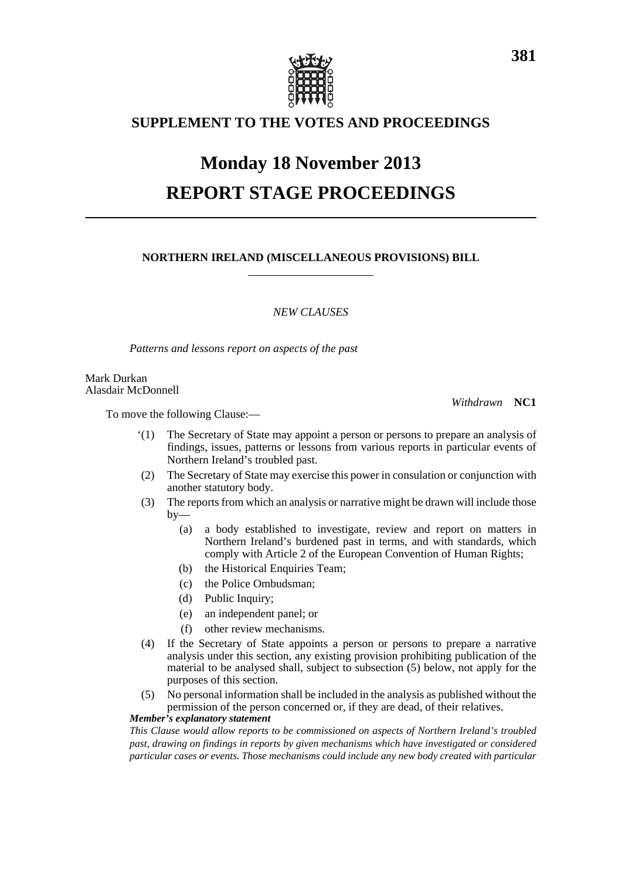

## **SUPPLEMENT TO THE VOTES AND PROCEEDINGS**

# **Monday 18 November 2013 REPORT STAGE PROCEEDINGS**

## **NORTHERN IRELAND (MISCELLANEOUS PROVISIONS) BILL**

## *NEW CLAUSES*

*Patterns and lessons report on aspects of the past*

Mark Durkan Alasdair McDonnell

*Withdrawn* **NC1**

To move the following Clause:—

- '(1) The Secretary of State may appoint a person or persons to prepare an analysis of findings, issues, patterns or lessons from various reports in particular events of Northern Ireland's troubled past.
- (2) The Secretary of State may exercise this power in consulation or conjunction with another statutory body.
- (3) The reports from which an analysis or narrative might be drawn will include those  $by-$ 
	- (a) a body established to investigate, review and report on matters in Northern Ireland's burdened past in terms, and with standards, which comply with Article 2 of the European Convention of Human Rights;
	- (b) the Historical Enquiries Team;
	- (c) the Police Ombudsman;
	- (d) Public Inquiry;
	- (e) an independent panel; or
	- (f) other review mechanisms.
- (4) If the Secretary of State appoints a person or persons to prepare a narrative analysis under this section, any existing provision prohibiting publication of the material to be analysed shall, subject to subsection (5) below, not apply for the purposes of this section.
- (5) No personal information shall be included in the analysis as published without the permission of the person concerned or, if they are dead, of their relatives.

#### *Member's explanatory statement*

*This Clause would allow reports to be commissioned on aspects of Northern Ireland's troubled past, drawing on findings in reports by given mechanisms which have investigated or considered particular cases or events. Those mechanisms could include any new body created with particular*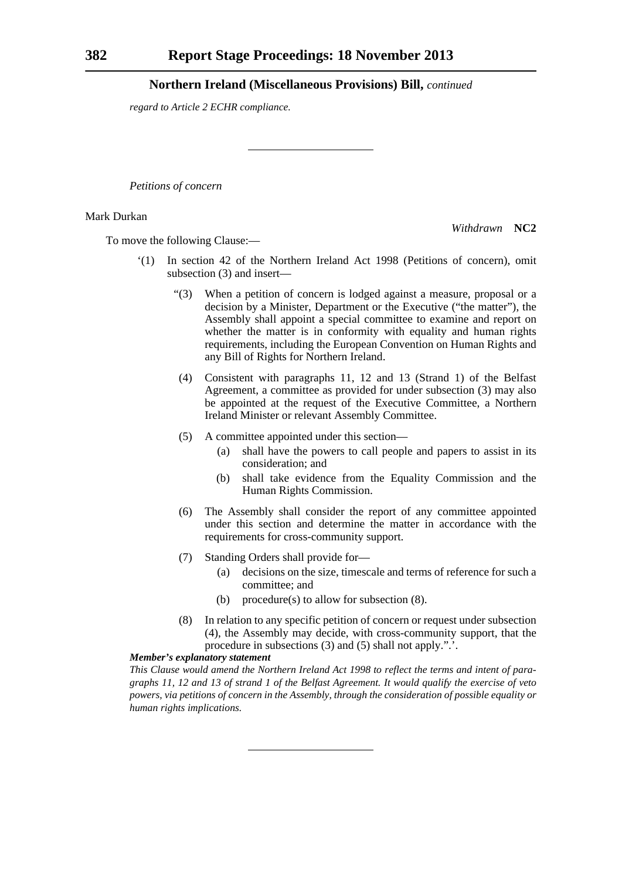*regard to Article 2 ECHR compliance.*

*Petitions of concern*

#### Mark Durkan

*Withdrawn* **NC2**

To move the following Clause:—

- '(1) In section 42 of the Northern Ireland Act 1998 (Petitions of concern), omit subsection (3) and insert—
	- "(3) When a petition of concern is lodged against a measure, proposal or a decision by a Minister, Department or the Executive ("the matter"), the Assembly shall appoint a special committee to examine and report on whether the matter is in conformity with equality and human rights requirements, including the European Convention on Human Rights and any Bill of Rights for Northern Ireland.
	- (4) Consistent with paragraphs 11, 12 and 13 (Strand 1) of the Belfast Agreement, a committee as provided for under subsection (3) may also be appointed at the request of the Executive Committee, a Northern Ireland Minister or relevant Assembly Committee.
	- (5) A committee appointed under this section—
		- (a) shall have the powers to call people and papers to assist in its consideration; and
		- (b) shall take evidence from the Equality Commission and the Human Rights Commission.
	- (6) The Assembly shall consider the report of any committee appointed under this section and determine the matter in accordance with the requirements for cross-community support.
	- (7) Standing Orders shall provide for—
		- (a) decisions on the size, timescale and terms of reference for such a committee; and
		- (b) procedure(s) to allow for subsection (8).
	- (8) In relation to any specific petition of concern or request under subsection (4), the Assembly may decide, with cross-community support, that the procedure in subsections (3) and (5) shall not apply.".'.

#### *Member's explanatory statement*

*This Clause would amend the Northern Ireland Act 1998 to reflect the terms and intent of paragraphs 11, 12 and 13 of strand 1 of the Belfast Agreement. It would qualify the exercise of veto powers, via petitions of concern in the Assembly, through the consideration of possible equality or human rights implications.*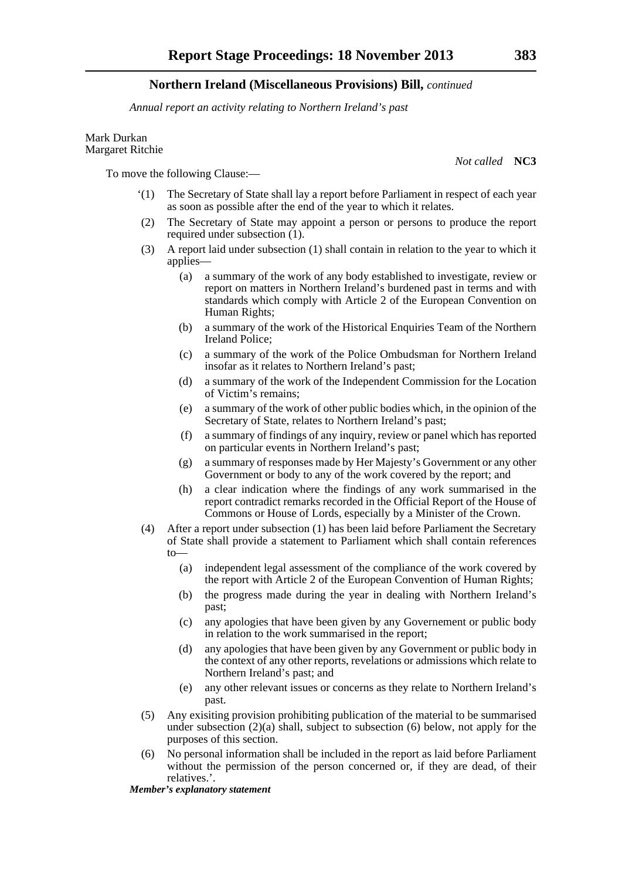*Annual report an activity relating to Northern Ireland's past*

Mark Durkan Margaret Ritchie

To move the following Clause:—

- '(1) The Secretary of State shall lay a report before Parliament in respect of each year as soon as possible after the end of the year to which it relates.
- (2) The Secretary of State may appoint a person or persons to produce the report required under subsection (1).
- (3) A report laid under subsection (1) shall contain in relation to the year to which it applies—
	- (a) a summary of the work of any body established to investigate, review or report on matters in Northern Ireland's burdened past in terms and with standards which comply with Article 2 of the European Convention on Human Rights;
	- (b) a summary of the work of the Historical Enquiries Team of the Northern Ireland Police;
	- (c) a summary of the work of the Police Ombudsman for Northern Ireland insofar as it relates to Northern Ireland's past;
	- (d) a summary of the work of the Independent Commission for the Location of Victim's remains;
	- (e) a summary of the work of other public bodies which, in the opinion of the Secretary of State, relates to Northern Ireland's past;
	- (f) a summary of findings of any inquiry, review or panel which has reported on particular events in Northern Ireland's past;
	- (g) a summary of responses made by Her Majesty's Government or any other Government or body to any of the work covered by the report; and
	- (h) a clear indication where the findings of any work summarised in the report contradict remarks recorded in the Official Report of the House of Commons or House of Lords, especially by a Minister of the Crown.
- (4) After a report under subsection (1) has been laid before Parliament the Secretary of State shall provide a statement to Parliament which shall contain references to—
	- (a) independent legal assessment of the compliance of the work covered by the report with Article 2 of the European Convention of Human Rights;
	- (b) the progress made during the year in dealing with Northern Ireland's past;
	- (c) any apologies that have been given by any Governement or public body in relation to the work summarised in the report;
	- (d) any apologies that have been given by any Government or public body in the context of any other reports, revelations or admissions which relate to Northern Ireland's past; and
	- (e) any other relevant issues or concerns as they relate to Northern Ireland's past.
- (5) Any exisiting provision prohibiting publication of the material to be summarised under subsection  $(2)(a)$  shall, subject to subsection (6) below, not apply for the purposes of this section.
- (6) No personal information shall be included in the report as laid before Parliament without the permission of the person concerned or, if they are dead, of their relatives.'.

*Member's explanatory statement* 

*Not called* **NC3**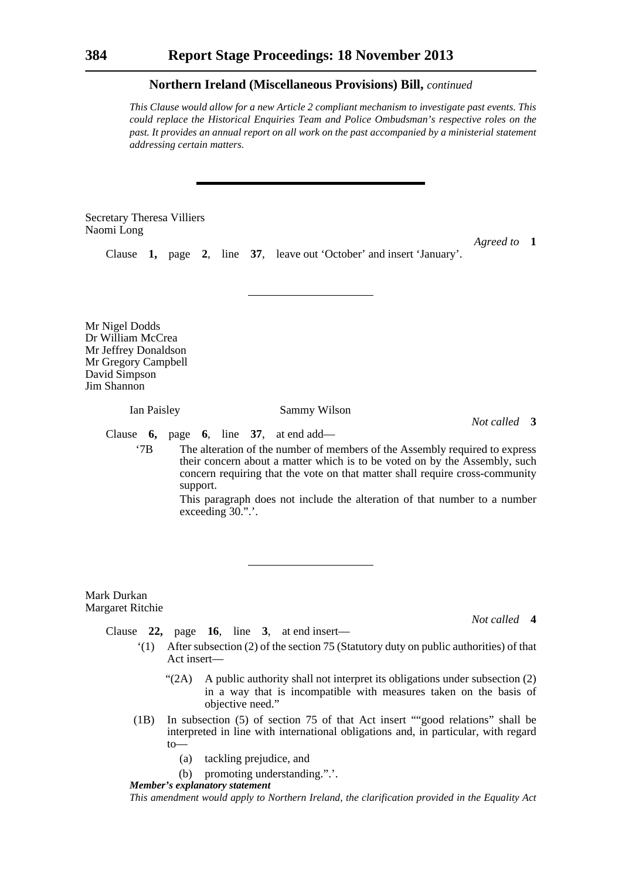*This Clause would allow for a new Article 2 compliant mechanism to investigate past events. This could replace the Historical Enquiries Team and Police Ombudsman's respective roles on the past. It provides an annual report on all work on the past accompanied by a ministerial statement addressing certain matters.*

Secretary Theresa Villiers Naomi Long

*Agreed to* **1**

Clause **1,** page **2**, line **37**, leave out 'October' and insert 'January'.

Mr Nigel Dodds Dr William McCrea Mr Jeffrey Donaldson Mr Gregory Campbell David Simpson Jim Shannon

Ian Paisley Sammy Wilson

*Not called* **3**

Clause **6,** page **6**, line **37**, at end add—

'7B The alteration of the number of members of the Assembly required to express their concern about a matter which is to be voted on by the Assembly, such concern requiring that the vote on that matter shall require cross-community support.

> This paragraph does not include the alteration of that number to a number exceeding  $30$ .".

#### Mark Durkan Margaret Ritchie

*Not called* **4**

Clause **22,** page **16**, line **3**, at end insert—

- '(1) After subsection (2) of the section 75 (Statutory duty on public authorities) of that Act insert—
	- "(2A) A public authority shall not interpret its obligations under subsection (2) in a way that is incompatible with measures taken on the basis of objective need."
- (1B) In subsection (5) of section 75 of that Act insert ""good relations" shall be interpreted in line with international obligations and, in particular, with regard to—
	- (a) tackling prejudice, and
	- (b) promoting understanding.".'.

*Member's explanatory statement* 

*This amendment would apply to Northern Ireland, the clarification provided in the Equality Act*